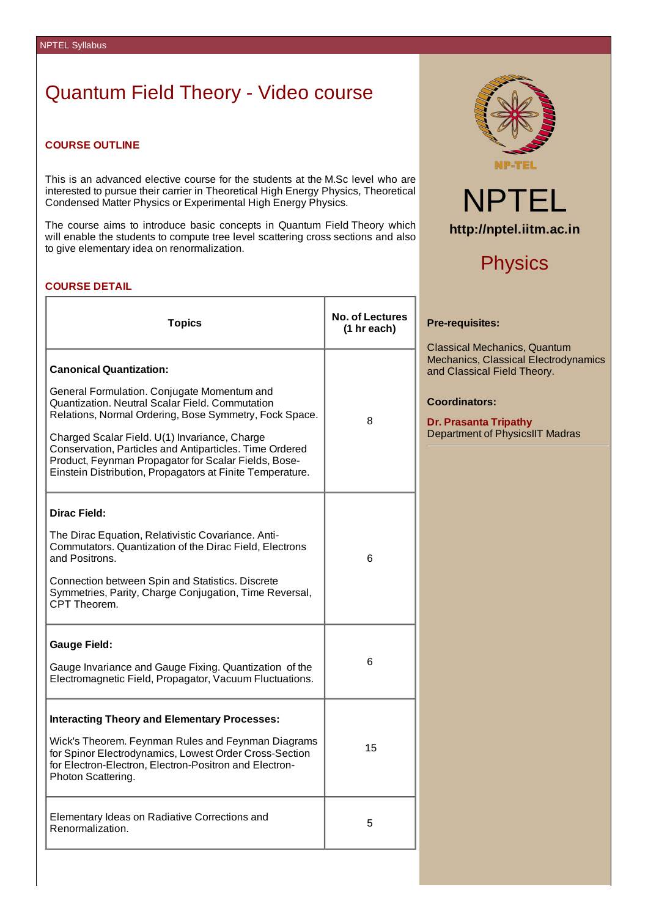# Quantum Field Theory - Video course

# **COURSE OUTLINE**

This is an advanced elective course for the students at the M.Sc level who are interested to pursue their carrier in Theoretical High Energy Physics, Theoretical Condensed Matter Physics or Experimental High Energy Physics.

The course aims to introduce basic concepts in Quantum Field Theory which will enable the students to compute tree level scattering cross sections and also to give elementary idea on renormalization.

# **COURSE DETAIL**

| <b>Topics</b>                                                                                                                                                                                                                                                                                                                                                                                                               | <b>No. of Lectures</b><br>(1 hr each) |
|-----------------------------------------------------------------------------------------------------------------------------------------------------------------------------------------------------------------------------------------------------------------------------------------------------------------------------------------------------------------------------------------------------------------------------|---------------------------------------|
| <b>Canonical Quantization:</b><br>General Formulation. Conjugate Momentum and<br>Quantization. Neutral Scalar Field. Commutation<br>Relations, Normal Ordering, Bose Symmetry, Fock Space.<br>Charged Scalar Field. U(1) Invariance, Charge<br>Conservation, Particles and Antiparticles. Time Ordered<br>Product, Feynman Propagator for Scalar Fields, Bose-<br>Einstein Distribution, Propagators at Finite Temperature. | 8                                     |
| Dirac Field:<br>The Dirac Equation, Relativistic Covariance. Anti-<br>Commutators. Quantization of the Dirac Field, Electrons<br>and Positrons.<br>Connection between Spin and Statistics. Discrete<br>Symmetries, Parity, Charge Conjugation, Time Reversal,<br>CPT Theorem.                                                                                                                                               | 6                                     |
| <b>Gauge Field:</b><br>Gauge Invariance and Gauge Fixing. Quantization of the<br>Electromagnetic Field, Propagator, Vacuum Fluctuations.                                                                                                                                                                                                                                                                                    | 6                                     |
| <b>Interacting Theory and Elementary Processes:</b><br>Wick's Theorem. Feynman Rules and Feynman Diagrams<br>for Spinor Electrodynamics, Lowest Order Cross-Section<br>for Electron-Electron, Electron-Positron and Electron-<br>Photon Scattering.                                                                                                                                                                         | 15                                    |
| Elementary Ideas on Radiative Corrections and<br>Renormalization.                                                                                                                                                                                                                                                                                                                                                           | 5                                     |





# **Physics**

### **Pre-requisites:**

Classical Mechanics, Quantum Mechanics, Classical Electrodynamics and Classical Field Theory.

### **Coordinators:**

**Dr. Prasanta Tripathy** Department of PhysicsIIT Madras